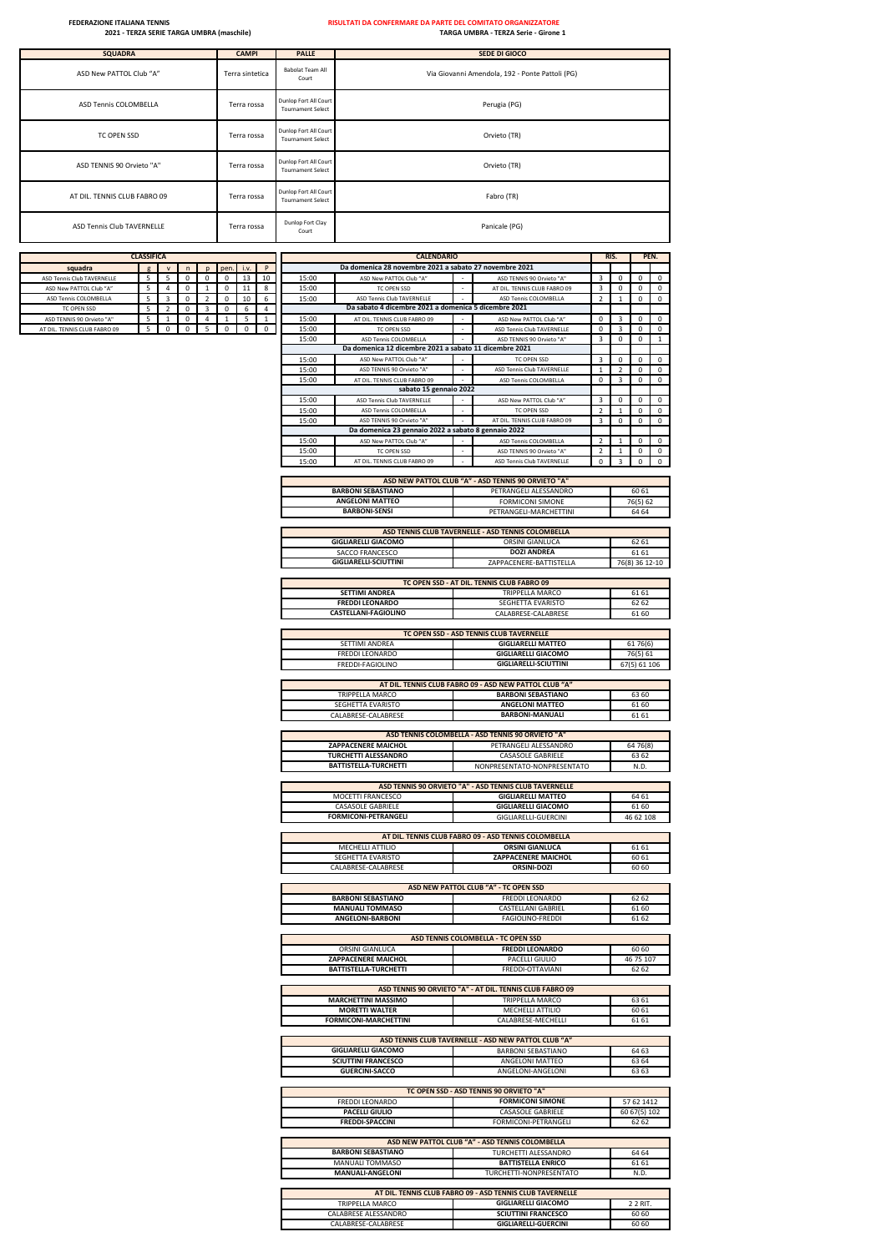| <b>SQUADRA</b>               | <b>CAMPI</b>    | <b>PALLE</b>                                      | <b>SEDE DI GIOCO</b>                            |
|------------------------------|-----------------|---------------------------------------------------|-------------------------------------------------|
| ASD New PATTOL Club "A"      | Terra sintetica | Babolat Team All<br>Court                         | Via Giovanni Amendola, 192 - Ponte Pattoli (PG) |
| ASD Tennis COLOMBELLA        | Terra rossa     | Dunlop Fort All Court<br><b>Tournament Select</b> | Perugia (PG)                                    |
| TC OPEN SSD                  | Terra rossa     | Dunlop Fort All Court<br><b>Tournament Select</b> | Orvieto (TR)                                    |
| ASD TENNIS 90 Orvieto "A"    | Terra rossa     | Dunlop Fort All Court<br><b>Tournament Select</b> | Orvieto (TR)                                    |
| AT DIL. TENNIS CLUB FABRO 09 | Terra rossa     | Dunlop Fort All Court<br><b>Tournament Select</b> | Fabro (TR)                                      |
| ASD Tennis Club TAVERNELLE   | Terra rossa     | Dunlop Fort Clay<br>Court                         | Panicale (PG)                                   |

|                              | <b>CLASSIFICA</b> |                |  |  |           |    |  |       | <b>CALENDARIO</b>                                      |                              | RIS. | <b>PEN</b> |  |
|------------------------------|-------------------|----------------|--|--|-----------|----|--|-------|--------------------------------------------------------|------------------------------|------|------------|--|
| squadra                      |                   | $\overline{1}$ |  |  | pen. i.v. |    |  |       | Da domenica 28 novembre 2021 a sabato 27 novembre 2021 |                              |      |            |  |
| ASD Tennis Club TAVERNELLE   |                   |                |  |  |           |    |  | 15:00 | ASD New PATTOL Club "A"                                | ASD TENNIS 90 Orvieto "A"    |      |            |  |
| ASD New PATTOL Club "A"      |                   |                |  |  |           |    |  | 15:00 | TC OPEN SSD                                            | AT DIL. TENNIS CLUB FABRO 09 |      |            |  |
| ASD Tennis COLOMBELLA        |                   |                |  |  |           | 10 |  | 15:00 | ASD Tennis Club TAVERNELLE                             | ASD Tennis COLOMBELLA        |      |            |  |
| TC OPEN SSD                  |                   |                |  |  |           |    |  |       | Da sabato 4 dicembre 2021 a domenica 5 dicembre 2021   |                              |      |            |  |
| ASD TENNIS 90 Orvieto "A"    |                   |                |  |  |           |    |  | 15:00 | AT DIL. TENNIS CLUB FABRO 09                           | ASD New PATTOL Club "A"      |      |            |  |
| AT DIL. TENNIS CLUB FABRO 09 |                   |                |  |  |           |    |  | 15:00 | TC OPEN SSD                                            | ASD Tennis Club TAVERNELLE   |      |            |  |
|                              |                   |                |  |  |           |    |  |       |                                                        |                              |      |            |  |

| squadra                              |        |                                |             |               | pen.              |             | P                              |       | Da domenica 28 novembre 2021 a sabato 27 novembre 2021                             |                                                                                |                |                |                |             |
|--------------------------------------|--------|--------------------------------|-------------|---------------|-------------------|-------------|--------------------------------|-------|------------------------------------------------------------------------------------|--------------------------------------------------------------------------------|----------------|----------------|----------------|-------------|
| ASD Tennis Club TAVERNELLE           | 5      | 5                              | 0           | $\mathsf 0$   | 0                 | 13          | 10                             | 15:00 | ASD New PATTOL Club "A"                                                            | ASD TENNIS 90 Orvieto "A"                                                      | 3              | 0              | 0              | 0           |
| ASD New PATTOL Club "A"              | 5      | 4                              | 0           | 1             | 0                 | 11          | 8                              | 15:00 | TC OPEN SSD                                                                        | AT DIL. TENNIS CLUB FABRO 09                                                   | 3              | 0              | 0              | 0           |
| ASD Tennis COLOMBELLA<br>TC OPEN SSD | 5<br>5 | 3                              | 0           | $\mathcal{P}$ | 0                 | 10          | 6                              | 15:00 | ASD Tennis Club TAVERNELLE<br>Da sabato 4 dicembre 2021 a domenica 5 dicembre 2021 | ASD Tennis COLOMBELLA                                                          | $\overline{2}$ | $\mathbf{1}$   | 0              | $\mathsf 0$ |
| ASD TENNIS 90 Orvieto "A"            | 5      | $\overline{2}$<br>$\mathbf{1}$ | 0<br>0      | 3<br>4        | 0<br>$\mathbf{1}$ | 6<br>5      | $\overline{4}$<br>$\mathbf{1}$ | 15:00 | AT DIL. TENNIS CLUB FABRO 09                                                       | ASD New PATTOL Club "A"                                                        | 0              | 3              | 0              | $\mathsf 0$ |
| T DIL. TENNIS CLUB FABRO 09          | 5      | 0                              | $\mathsf 0$ | 5             | $\mathsf 0$       | $\mathsf 0$ | 0                              | 15:00 | TC OPEN SSD                                                                        | <b>ASD Tennis Club TAVERNELLE</b>                                              | 0              | 3              | 0              | 0           |
|                                      |        |                                |             |               |                   |             |                                | 15:00 | ASD Tennis COLOMBELLA                                                              | ASD TENNIS 90 Orvieto "A"                                                      | 3              | 0              | $\mathsf 0$    | $\mathbf 1$ |
|                                      |        |                                |             |               |                   |             |                                |       | Da domenica 12 dicembre 2021 a sabato 11 dicembre 2021                             |                                                                                |                |                |                |             |
|                                      |        |                                |             |               |                   |             |                                | 15:00 | ASD New PATTOL Club "A"                                                            | TC OPEN SSD<br>$\sim$                                                          | 3              | 0              | 0              | $\mathbf 0$ |
|                                      |        |                                |             |               |                   |             |                                | 15:00 | ASD TENNIS 90 Orvieto "A"                                                          | ASD Tennis Club TAVERNELLE                                                     | $\mathbf{1}$   | $\overline{2}$ | $\mathsf 0$    | $\mathsf 0$ |
|                                      |        |                                |             |               |                   |             |                                | 15:00 | AT DIL. TENNIS CLUB FABRO 09<br>sabato 15 gennaio 2022                             | ASD Tennis COLOMBELLA                                                          | 0              | 3              | 0              | 0           |
|                                      |        |                                |             |               |                   |             |                                | 15:00 | ASD Tennis Club TAVERNELLE                                                         | ASD New PATTOL Club "A"                                                        | 3              | 0              | 0              | 0           |
|                                      |        |                                |             |               |                   |             |                                | 15:00 | ASD Tennis COLOMBELLA                                                              | <b>TC OPEN SSD</b>                                                             | $\overline{2}$ | $\mathbf{1}$   | $\mathsf 0$    | $\mathsf 0$ |
|                                      |        |                                |             |               |                   |             |                                | 15:00 | ASD TENNIS 90 Orvieto "A"                                                          | AT DIL. TENNIS CLUB FABRO 09                                                   | 3              | 0              | $\mathsf 0$    | $\mathsf 0$ |
|                                      |        |                                |             |               |                   |             |                                |       | Da domenica 23 gennaio 2022 a sabato 8 gennaio 2022                                |                                                                                |                |                |                |             |
|                                      |        |                                |             |               |                   |             |                                | 15:00 | ASD New PATTOL Club "A"                                                            | ASD Tennis COLOMBELLA                                                          | $\mathcal{P}$  | $\overline{1}$ | $\mathsf 0$    | $\mathsf 0$ |
|                                      |        |                                |             |               |                   |             |                                | 15:00 | TC OPEN SSD                                                                        | ASD TENNIS 90 Orvieto "A"                                                      | $\mathfrak{p}$ |                | 0              | $\mathsf 0$ |
|                                      |        |                                |             |               |                   |             |                                | 15:00 | AT DIL. TENNIS CLUB FABRO 09                                                       | ASD Tennis Club TAVERNELLE                                                     | $\mathsf 0$    | 3              | $\mathsf 0$    | $\mathbf 0$ |
|                                      |        |                                |             |               |                   |             |                                |       |                                                                                    | ASD NEW PATTOL CLUB "A" - ASD TENNIS 90 ORVIETO "A"                            |                |                |                |             |
|                                      |        |                                |             |               |                   |             |                                |       | <b>BARBONI SEBASTIANO</b>                                                          | PETRANGELI ALESSANDRO                                                          |                |                | 60 61          |             |
|                                      |        |                                |             |               |                   |             |                                |       | <b>ANGELONI MATTEO</b>                                                             | <b>FORMICONI SIMONE</b>                                                        |                |                | 76(5) 62       |             |
|                                      |        |                                |             |               |                   |             |                                |       | <b>BARBONI-SENSI</b>                                                               | PETRANGELI-MARCHETTINI                                                         |                |                | 64 64          |             |
|                                      |        |                                |             |               |                   |             |                                |       |                                                                                    |                                                                                |                |                |                |             |
|                                      |        |                                |             |               |                   |             |                                |       |                                                                                    | ASD TENNIS CLUB TAVERNELLE - ASD TENNIS COLOMBELLA                             |                |                |                |             |
|                                      |        |                                |             |               |                   |             |                                |       | <b>GIGLIARELLI GIACOMO</b>                                                         | ORSINI GIANLUCA                                                                |                |                | 62 61          |             |
|                                      |        |                                |             |               |                   |             |                                |       | <b>SACCO FRANCESCO</b>                                                             | <b>DOZI ANDREA</b>                                                             |                |                | 61 61          |             |
|                                      |        |                                |             |               |                   |             |                                |       | <b>GIGLIARELLI-SCIUTTINI</b>                                                       | ZAPPACENERE-BATTISTELLA                                                        |                |                | 76(8) 36 12-10 |             |
|                                      |        |                                |             |               |                   |             |                                |       |                                                                                    | TC OPEN SSD - AT DIL. TENNIS CLUB FABRO 09                                     |                |                |                |             |
|                                      |        |                                |             |               |                   |             |                                |       | <b>SETTIMI ANDREA</b>                                                              | TRIPPELLA MARCO                                                                |                |                | 61 61          |             |
|                                      |        |                                |             |               |                   |             |                                |       | <b>FREDDI LEONARDO</b>                                                             | SEGHETTA EVARISTO                                                              |                |                | 62 62          |             |
|                                      |        |                                |             |               |                   |             |                                |       | CASTELLANI-FAGIOLINO                                                               | CALABRESE-CALABRESE                                                            |                |                | 61 60          |             |
|                                      |        |                                |             |               |                   |             |                                |       |                                                                                    |                                                                                |                |                |                |             |
|                                      |        |                                |             |               |                   |             |                                |       |                                                                                    | TC OPEN SSD - ASD TENNIS CLUB TAVERNELLE                                       |                |                |                |             |
|                                      |        |                                |             |               |                   |             |                                |       | SETTIMI ANDREA                                                                     | <b>GIGLIARELLI MATTEO</b>                                                      |                |                | 61 76(6)       |             |
|                                      |        |                                |             |               |                   |             |                                |       | FREDDI LEONARDO                                                                    | <b>GIGLIARELLI GIACOMO</b>                                                     |                |                | 76(5) 61       |             |
|                                      |        |                                |             |               |                   |             |                                |       | FREDDI-FAGIOLINO                                                                   | <b>GIGLIARELLI-SCIUTTINI</b>                                                   |                |                | 67(5) 61 106   |             |
|                                      |        |                                |             |               |                   |             |                                |       |                                                                                    | AT DIL. TENNIS CLUB FABRO 09 - ASD NEW PATTOL CLUB "A"                         |                |                |                |             |
|                                      |        |                                |             |               |                   |             |                                |       | TRIPPELLA MARCO                                                                    | <b>BARBONI SEBASTIANO</b>                                                      |                |                | 63 60          |             |
|                                      |        |                                |             |               |                   |             |                                |       | SEGHETTA EVARISTO                                                                  | <b>ANGELONI MATTEO</b>                                                         |                |                | 61 60          |             |
|                                      |        |                                |             |               |                   |             |                                |       | CALABRESE-CALABRESE                                                                | <b>BARBONI-MANUALI</b>                                                         |                |                | 61 61          |             |
|                                      |        |                                |             |               |                   |             |                                |       |                                                                                    |                                                                                |                |                |                |             |
|                                      |        |                                |             |               |                   |             |                                |       |                                                                                    | ASD TENNIS COLOMBELLA - ASD TENNIS 90 ORVIETO "A"                              |                |                |                |             |
|                                      |        |                                |             |               |                   |             |                                |       | ZAPPACENERE MAICHOL<br><b>TURCHETTI ALESSANDRO</b>                                 | PETRANGELI ALESSANDRO<br>CASASOLE GABRIELE                                     |                |                | 64 76(8)       |             |
|                                      |        |                                |             |               |                   |             |                                |       | BATTISTELLA-TURCHETTI                                                              | NONPRESENTATO-NONPRESENTATO                                                    |                |                | 63 62<br>N.D.  |             |
|                                      |        |                                |             |               |                   |             |                                |       |                                                                                    |                                                                                |                |                |                |             |
|                                      |        |                                |             |               |                   |             |                                |       |                                                                                    | ASD TENNIS 90 ORVIETO "A" - ASD TENNIS CLUB TAVERNELLE                         |                |                |                |             |
|                                      |        |                                |             |               |                   |             |                                |       | MOCETTI FRANCESCO                                                                  | <b>GIGLIARELLI MATTEO</b>                                                      |                |                | 64 61          |             |
|                                      |        |                                |             |               |                   |             |                                |       | <b>CASASOLE GABRIELE</b>                                                           | <b>GIGLIARELLI GIACOMO</b>                                                     |                |                | 61 60          |             |
|                                      |        |                                |             |               |                   |             |                                |       | FORMICONI-PETRANGELI                                                               | GIGLIARELLI-GUERCINI                                                           |                |                | 46 62 108      |             |
|                                      |        |                                |             |               |                   |             |                                |       |                                                                                    |                                                                                |                |                |                |             |
|                                      |        |                                |             |               |                   |             |                                |       |                                                                                    | AT DIL. TENNIS CLUB FABRO 09 - ASD TENNIS COLOMBELLA<br><b>ORSINI GIANLUCA</b> |                |                |                |             |
|                                      |        |                                |             |               |                   |             |                                |       | MECHELLI ATTILIO<br>SEGHETTA EVARISTO                                              | ZAPPACENERE MAICHOL                                                            |                |                | 61 61<br>60 61 |             |
|                                      |        |                                |             |               |                   |             |                                |       | CALABRESE-CALABRESE                                                                | <b>ORSINI-DOZI</b>                                                             |                |                | 60 60          |             |
|                                      |        |                                |             |               |                   |             |                                |       |                                                                                    |                                                                                |                |                |                |             |
|                                      |        |                                |             |               |                   |             |                                |       |                                                                                    | ASD NEW PATTOL CLUB "A" - TC OPEN SSD                                          |                |                |                |             |
|                                      |        |                                |             |               |                   |             |                                |       | <b>BARBONI SEBASTIANO</b>                                                          | FREDDI LEONARDO                                                                |                |                | 62 62          |             |
|                                      |        |                                |             |               |                   |             |                                |       | <b>MANUALI TOMMASO</b>                                                             | CASTELLANI GABRIEL                                                             |                |                | 61 60          |             |
|                                      |        |                                |             |               |                   |             |                                |       | <b>ANGELONI-BARBONI</b>                                                            | FAGIOLINO-FREDDI                                                               |                |                | 61 62          |             |
|                                      |        |                                |             |               |                   |             |                                |       |                                                                                    | ASD TENNIS COLOMBELLA - TC OPEN SSD                                            |                |                |                |             |
|                                      |        |                                |             |               |                   |             |                                |       | ORSINI GIANLUCA                                                                    | <b>FREDDI LEONARDO</b>                                                         |                |                | 60 60          |             |
|                                      |        |                                |             |               |                   |             |                                |       | ZAPPACENERE MAICHOL                                                                | PACELLI GIULIO                                                                 |                |                | 46 75 107      |             |
|                                      |        |                                |             |               |                   |             |                                |       | <b>BATTISTELLA-TURCHETTI</b>                                                       | FREDDI-OTTAVIANI                                                               |                |                | 62 62          |             |
|                                      |        |                                |             |               |                   |             |                                |       |                                                                                    |                                                                                |                |                |                |             |
|                                      |        |                                |             |               |                   |             |                                |       |                                                                                    | ASD TENNIS 90 ORVIETO "A" - AT DIL. TENNIS CLUB FABRO 09                       |                |                |                |             |
|                                      |        |                                |             |               |                   |             |                                |       | <b>MARCHETTINI MASSIMO</b>                                                         | TRIPPELLA MARCO                                                                |                |                | 63 61          |             |
|                                      |        |                                |             |               |                   |             |                                |       | <b>MORETTI WALTER</b><br>FORMICONI-MARCHETTINI                                     | MECHELLI ATTILIO<br>CALABRESE-MECHELLI                                         |                |                | 60 61<br>61 61 |             |
|                                      |        |                                |             |               |                   |             |                                |       |                                                                                    |                                                                                |                |                |                |             |
|                                      |        |                                |             |               |                   |             |                                |       |                                                                                    | ASD TENNIS CLUB TAVERNELLE - ASD NEW PATTOL CLUB "A"                           |                |                |                |             |
|                                      |        |                                |             |               |                   |             |                                |       | <b>GIGLIARELLI GIACOMO</b>                                                         | <b>BARBONI SEBASTIANO</b>                                                      |                |                | 64 63          |             |
|                                      |        |                                |             |               |                   |             |                                |       | <b>SCIUTTINI FRANCESCO</b>                                                         | ANGELONI MATTEO                                                                |                |                | 63 64          |             |
|                                      |        |                                |             |               |                   |             |                                |       | <b>GUERCINI-SACCO</b>                                                              | ANGELONI-ANGELONI                                                              |                |                | 63 63          |             |
|                                      |        |                                |             |               |                   |             |                                |       |                                                                                    |                                                                                |                |                |                |             |
|                                      |        |                                |             |               |                   |             |                                |       | FREDDI LEONARDO                                                                    | TC OPEN SSD - ASD TENNIS 90 ORVIETO "A"<br><b>FORMICONI SIMONE</b>             |                |                | 57 62 1412     |             |
|                                      |        |                                |             |               |                   |             |                                |       | <b>PACELLI GIULIO</b>                                                              | <b>CASASOLE GABRIELE</b>                                                       |                |                | 60 67(5) 102   |             |
|                                      |        |                                |             |               |                   |             |                                |       | <b>FREDDI-SPACCINI</b>                                                             | FORMICONI-PETRANGELI                                                           |                |                | 62 62          |             |
|                                      |        |                                |             |               |                   |             |                                |       |                                                                                    |                                                                                |                |                |                |             |
|                                      |        |                                |             |               |                   |             |                                |       |                                                                                    | ASD NEW PATTOL CLUB "A" - ASD TENNIS COLOMBELLA                                |                |                |                |             |
|                                      |        |                                |             |               |                   |             |                                |       | <b>BARBONI SEBASTIANO</b>                                                          | TURCHETTI ALESSANDRO                                                           |                |                | 64 64          |             |
|                                      |        |                                |             |               |                   |             |                                |       | MANUALI TOMMASO                                                                    | <b>BATTISTELLA ENRICO</b>                                                      |                |                | 61 61          |             |
|                                      |        |                                |             |               |                   |             |                                |       | <b>MANUALI-ANGELONI</b>                                                            | TURCHETTI-NONPRESENTATO                                                        |                |                | N.D.           |             |
|                                      |        |                                |             |               |                   |             |                                |       |                                                                                    | AT DIL. TENNIS CLUB FABRO 09 - ASD TENNIS CLUB TAVERNELLE                      |                |                |                |             |
|                                      |        |                                |             |               |                   |             |                                |       | TRIPPELLA MARCO                                                                    | <b>GIGLIARELLI GIACOMO</b>                                                     |                |                | 2 2 RIT.       |             |
|                                      |        |                                |             |               |                   |             |                                |       |                                                                                    |                                                                                |                |                |                |             |
|                                      |        |                                |             |               |                   |             |                                |       |                                                                                    |                                                                                |                |                |                |             |
|                                      |        |                                |             |               |                   |             |                                |       | CALABRESE ALESSANDRO<br>CALABRESE-CALABRESE                                        | <b>SCIUTTINI FRANCESCO</b><br><b>GIGLIARELLI-GUERCINI</b>                      |                |                | 60 60<br>60 60 |             |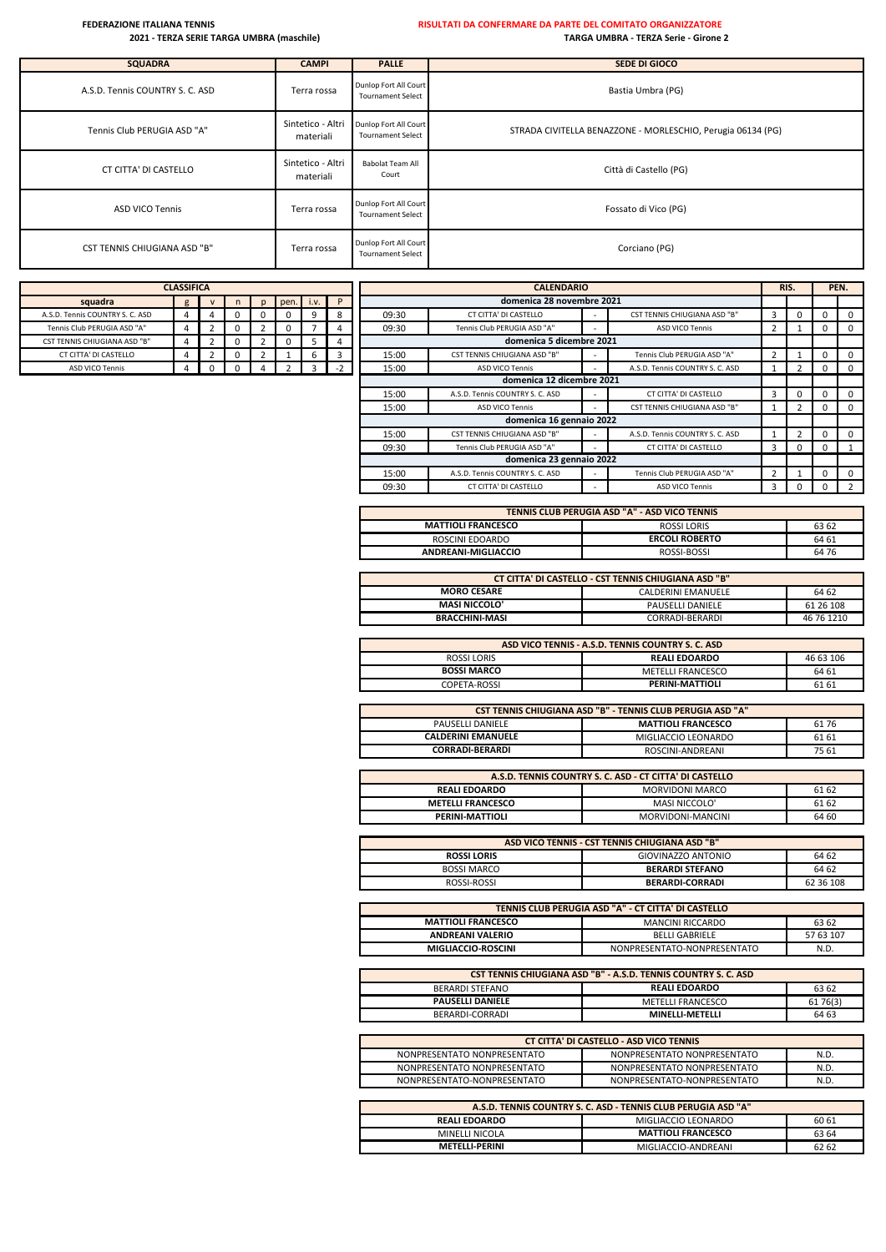## **FEDERAZIONE ITALIANA TENNIS RISULTATI DA CONFERMARE DA PARTE DEL COMITATO ORGANIZZATORE**

# **2021 - TERZA SERIE TARGA UMBRA (maschile) TARGA UMBRA - TERZA Serie - Girone 2**

| <b>SQUADRA</b>                      | <b>CAMPI</b>                   | <b>PALLE</b>                                      | SEDE DI GIOCO                                               |
|-------------------------------------|--------------------------------|---------------------------------------------------|-------------------------------------------------------------|
| A.S.D. Tennis COUNTRY S. C. ASD     | Terra rossa                    | Dunlop Fort All Court<br><b>Tournament Select</b> | Bastia Umbra (PG)                                           |
| Tennis Club PERUGIA ASD "A"         | Sintetico - Altri<br>materiali | Dunlop Fort All Court<br><b>Tournament Select</b> | STRADA CIVITELLA BENAZZONE - MORLESCHIO, Perugia 06134 (PG) |
| CT CITTA' DI CASTELLO               | Sintetico - Altri<br>materiali | <b>Babolat Team All</b><br>Court                  | Città di Castello (PG)                                      |
| <b>ASD VICO Tennis</b>              | Terra rossa                    | Dunlop Fort All Court<br><b>Tournament Select</b> | Fossato di Vico (PG)                                        |
| <b>CST TENNIS CHIUGIANA ASD "B"</b> | Terra rossa                    | Dunlop Fort All Court<br><b>Tournament Select</b> | Corciano (PG)                                               |

|                                 | <b>CLASSIFICA</b> |   |   |              |      |      |      |       | <b>CALENDARIO</b>                   |                          |                                     | RIS. |          |            | PEN.                    |
|---------------------------------|-------------------|---|---|--------------|------|------|------|-------|-------------------------------------|--------------------------|-------------------------------------|------|----------|------------|-------------------------|
| squadra                         | g                 |   |   | $\mathsf{D}$ | pen. | i.v. | P    |       | domenica 28 novembre 2021           |                          |                                     |      |          |            |                         |
| A.S.D. Tennis COUNTRY S. C. ASD | 4                 | 4 |   |              |      | 9    | 8    | 09:30 | CT CITTA' DI CASTELLO               | $\overline{\phantom{a}}$ | <b>CST TENNIS CHIUGIANA ASD "B"</b> | 3    |          | $\Omega$   | $\mathbf{0}$            |
| Tennis Club PERUGIA ASD "A"     |                   | 2 |   |              | n    |      |      | 09:30 | Tennis Club PERUGIA ASD "A"         |                          | ASD VICO Tennis                     |      |          | $\Omega$   | $\mathbf{0}$            |
| CST TENNIS CHIUGIANA ASD "B"    |                   | 2 | U |              | 0    | 5    |      |       | domenica 5 dicembre 2021            |                          |                                     |      |          |            |                         |
| CT CITTA' DI CASTELLO           | 4                 |   |   |              |      | 6    | 3    | 15:00 | <b>CST TENNIS CHIUGIANA ASD "B"</b> | $\overline{\phantom{a}}$ | Tennis Club PERUGIA ASD "A"         |      |          | $\Omega$   | $\Omega$                |
| ASD VICO Tennis                 | 4                 | 0 |   |              |      |      | $-2$ | 15:00 | <b>ASD VICO Tennis</b>              |                          | A.S.D. Tennis COUNTRY S. C. ASD     |      |          | 0          | $\mathbf 0$             |
|                                 |                   |   |   |              |      |      |      |       | domenica 12 dicembre 2021           |                          |                                     |      |          |            |                         |
|                                 |                   |   |   |              |      |      |      | 15:00 | A.S.D. Tennis COUNTRY S. C. ASD     |                          | CT CITTA' DI CASTELLO               | з    | $\Omega$ | $\Omega$   | $^{\circ}$              |
|                                 |                   |   |   |              |      |      |      | 15:00 | ASD VICO Tennis                     | $\overline{\phantom{a}}$ | CST TENNIS CHIUGIANA ASD "B"        |      |          | 0          | $\mathbf{0}$            |
|                                 |                   |   |   |              |      |      |      |       | domenica 16 gennaio 2022            |                          |                                     |      |          |            |                         |
|                                 |                   |   |   |              |      |      |      | 15:00 | <b>CST TENNIS CHIUGIANA ASD "B"</b> | $\overline{\phantom{a}}$ | A.S.D. Tennis COUNTRY S. C. ASD     |      |          | $^{\circ}$ | $\overline{\mathbf{0}}$ |
|                                 |                   |   |   |              |      |      |      | 09:30 | Tennis Club PERUGIA ASD "A"         |                          | CT CITTA' DI CASTELLO               | 3    | $\Omega$ | $\Omega$   |                         |
|                                 |                   |   |   |              |      |      |      |       | domenica 23 gennaio 2022            |                          |                                     |      |          |            |                         |
|                                 |                   |   |   |              |      |      |      | 15:00 | A.S.D. Tennis COUNTRY S. C. ASD     |                          | Tennis Club PERUGIA ASD "A"         |      |          | $\Omega$   | $^{\circ}$              |
|                                 |                   |   |   |              |      |      |      | 09:30 | CT CITTA' DI CASTELLO               |                          | <b>ASD VICO Tennis</b>              | в    |          |            |                         |

| TENNIS CLUB PERUGIA ASD "A" - ASD VICO TENNIS |                       |       |  |  |  |  |  |  |  |
|-----------------------------------------------|-----------------------|-------|--|--|--|--|--|--|--|
| <b>MATTIOLI FRANCESCO</b>                     | ROSSI LORIS           | 63 62 |  |  |  |  |  |  |  |
| ROSCINI EDOARDO                               | <b>ERCOLI ROBERTO</b> | 64 61 |  |  |  |  |  |  |  |
| ANDREANI-MIGLIACCIO                           | ROSSI-BOSSI           | 64 76 |  |  |  |  |  |  |  |

| CT CITTA' DI CASTELLO - CST TENNIS CHIUGIANA ASD "B" |                  |            |  |  |  |  |  |  |  |
|------------------------------------------------------|------------------|------------|--|--|--|--|--|--|--|
| <b>MORO CESARE</b><br>64 62<br>CALDERINI EMANUELE    |                  |            |  |  |  |  |  |  |  |
| <b>MASI NICCOLO'</b>                                 | PAUSELLI DANIELE | 61 26 108  |  |  |  |  |  |  |  |
| <b>BRACCHINI-MASI</b>                                | CORRADI-BERARDI  | 46 76 1210 |  |  |  |  |  |  |  |
|                                                      |                  |            |  |  |  |  |  |  |  |

| ASD VICO TENNIS - A.S.D. TENNIS COUNTRY S. C. ASD |                      |           |  |  |  |  |  |  |  |
|---------------------------------------------------|----------------------|-----------|--|--|--|--|--|--|--|
| ROSSI LORIS                                       | <b>REALI EDOARDO</b> | 46 63 106 |  |  |  |  |  |  |  |
| <b>BOSSI MARCO</b>                                | METELLI FRANCESCO    | 64 61     |  |  |  |  |  |  |  |
| COPETA-ROSSI                                      | PERINI-MATTIOLI      | 61 61     |  |  |  |  |  |  |  |

|                           | <b>CST TENNIS CHIUGIANA ASD "B" - TENNIS CLUB PERUGIA ASD "A"</b> |       |  |  |  |  |  |  |  |  |  |  |
|---------------------------|-------------------------------------------------------------------|-------|--|--|--|--|--|--|--|--|--|--|
| PAUSELLI DANIELE          | <b>MATTIOLI FRANCESCO</b>                                         | 6176  |  |  |  |  |  |  |  |  |  |  |
| <b>CALDERINI EMANUELE</b> | MIGLIACCIO LEONARDO                                               | 61 61 |  |  |  |  |  |  |  |  |  |  |
| <b>CORRADI-BERARDI</b>    | ROSCINI-ANDREANI                                                  | 75 61 |  |  |  |  |  |  |  |  |  |  |

|                          | A.S.D. TENNIS COUNTRY S. C. ASD - CT CITTA' DI CASTELLO |       |  |  |  |  |  |  |  |  |
|--------------------------|---------------------------------------------------------|-------|--|--|--|--|--|--|--|--|
| <b>REALI EDOARDO</b>     | MORVIDONI MARCO                                         | 61 62 |  |  |  |  |  |  |  |  |
| <b>METELLI FRANCESCO</b> | MASI NICCOLO'                                           | 61 62 |  |  |  |  |  |  |  |  |
| PERINI-MATTIOLI          | MORVIDONI-MANCINI                                       | 64 60 |  |  |  |  |  |  |  |  |

| ASD VICO TENNIS - CST TENNIS CHIUGIANA ASD "B"    |                        |           |  |  |  |  |  |  |  |
|---------------------------------------------------|------------------------|-----------|--|--|--|--|--|--|--|
| GIOVINAZZO ANTONIO<br>64 62<br><b>ROSSI LORIS</b> |                        |           |  |  |  |  |  |  |  |
| <b>BOSSI MARCO</b>                                | <b>BERARDI STEFANO</b> | 64 62     |  |  |  |  |  |  |  |
| ROSSI-ROSSI                                       | <b>BERARDI-CORRADI</b> | 62 36 108 |  |  |  |  |  |  |  |

| TENNIS CLUB PERUGIA ASD "A" - CT CITTA' DI CASTELLO    |                             |           |  |  |  |  |  |  |  |
|--------------------------------------------------------|-----------------------------|-----------|--|--|--|--|--|--|--|
| <b>MATTIOLI FRANCESCO</b><br>MANCINI RICCARDO<br>63 62 |                             |           |  |  |  |  |  |  |  |
| <b>ANDREANI VALERIO</b>                                | <b>BELLI GABRIELE</b>       | 57 63 107 |  |  |  |  |  |  |  |
| MIGLIACCIO-ROSCINI                                     | NONPRESENTATO-NONPRESENTATO | N.D.      |  |  |  |  |  |  |  |

| <b>CST TENNIS CHIUGIANA ASD "B" - A.S.D. TENNIS COUNTRY S. C. ASD</b> |                        |          |  |  |  |  |  |
|-----------------------------------------------------------------------|------------------------|----------|--|--|--|--|--|
| BERARDI STEFANO                                                       | <b>REALI EDOARDO</b>   | 63 62    |  |  |  |  |  |
| <b>PAUSELLI DANIELE</b>                                               | METELLI FRANCESCO      | 61 76(3) |  |  |  |  |  |
| BERARDI-CORRADI                                                       | <b>MINELLI-METELLI</b> | 64 63    |  |  |  |  |  |

| <b>CT CITTA' DI CASTELLO - ASD VICO TENNIS</b> |                             |      |  |  |  |  |
|------------------------------------------------|-----------------------------|------|--|--|--|--|
|                                                |                             |      |  |  |  |  |
| NONPRESENTATO NONPRESENTATO                    | NONPRESENTATO NONPRESENTATO | N.D. |  |  |  |  |
|                                                |                             |      |  |  |  |  |
| NONPRESENTATO NONPRESENTATO                    | NONPRESENTATO NONPRESENTATO | N.D. |  |  |  |  |
|                                                |                             |      |  |  |  |  |
| NONPRESENTATO-NONPRESENTATO                    | NONPRESENTATO-NONPRESENTATO | N.D. |  |  |  |  |
|                                                |                             |      |  |  |  |  |
|                                                |                             |      |  |  |  |  |
|                                                |                             |      |  |  |  |  |

| A.S.D. TENNIS COUNTRY S. C. ASD - TENNIS CLUB PERUGIA ASD "A" |                           |       |  |  |  |  |  |
|---------------------------------------------------------------|---------------------------|-------|--|--|--|--|--|
| MIGLIACCIO LEONARDO<br>60 61<br><b>REALI EDOARDO</b>          |                           |       |  |  |  |  |  |
| MINELLI NICOLA                                                | <b>MATTIOLI FRANCESCO</b> | 63 64 |  |  |  |  |  |
| METFI I I-PERINI                                              | MIGLIACCIO-ANDREANI       | 62 62 |  |  |  |  |  |

| <b>CLASSIFICA</b>                                |   |  |  |   |              |   |  |  |  |
|--------------------------------------------------|---|--|--|---|--------------|---|--|--|--|
| squadra<br>P<br>pen.<br>i.v.<br>n<br>g<br>v<br>n |   |  |  |   |              |   |  |  |  |
| A.S.D. Tennis COUNTRY S. C. ASD                  |   |  |  | 0 | 0            | ч |  |  |  |
| Tennis Club PERUGIA ASD "A"                      |   |  |  |   | 0            |   |  |  |  |
| <b>CST TENNIS CHIUGIANA ASD "B"</b>              |   |  |  |   | $\mathbf{0}$ |   |  |  |  |
| CT CITTA' DI CASTELLO                            | 4 |  |  |   |              | b |  |  |  |
| <b>ASD VICO Tennis</b>                           |   |  |  |   |              | כ |  |  |  |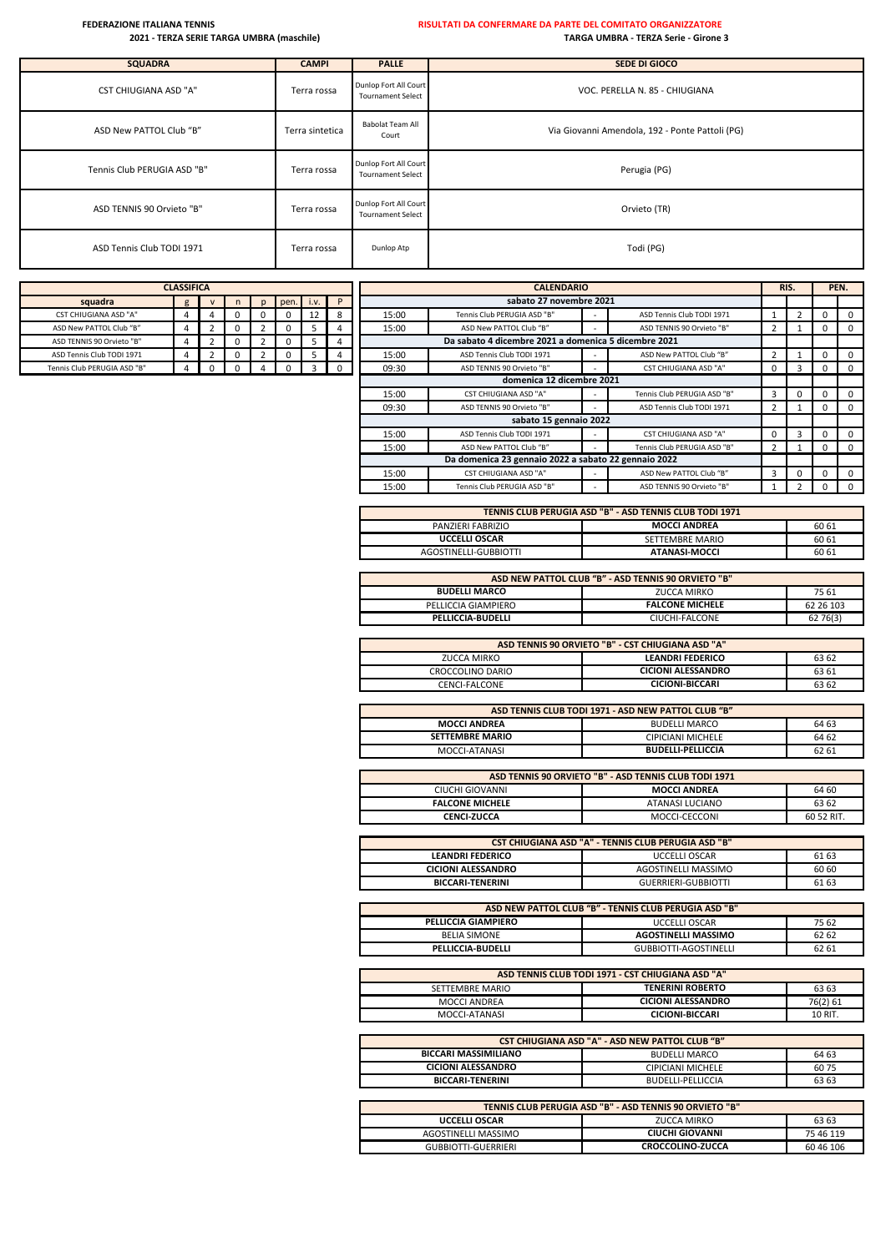| <b>SQUADRA</b>               | <b>CAMPI</b>    | <b>PALLE</b>                                      | SEDE DI GIOCO                                   |
|------------------------------|-----------------|---------------------------------------------------|-------------------------------------------------|
| <b>CST CHIUGIANA ASD "A"</b> | Terra rossa     | Dunlop Fort All Court<br><b>Tournament Select</b> | VOC. PERELLA N. 85 - CHIUGIANA                  |
| ASD New PATTOL Club "B"      | Terra sintetica | <b>Babolat Team All</b><br>Court                  | Via Giovanni Amendola, 192 - Ponte Pattoli (PG) |
| Tennis Club PERUGIA ASD "B"  | Terra rossa     | Dunlop Fort All Court<br><b>Tournament Select</b> | Perugia (PG)                                    |
| ASD TENNIS 90 Orvieto "B"    | Terra rossa     | Dunlop Fort All Court<br><b>Tournament Select</b> | Orvieto (TR)                                    |
| ASD Tennis Club TODI 1971    | Terra rossa     | Dunlop Atp                                        | Todi (PG)                                       |

| <b>CLASSIFICA</b>            |   |              |              |   |      |      |  |  |  |
|------------------------------|---|--------------|--------------|---|------|------|--|--|--|
| squadra                      | g | $\mathsf{v}$ | n            | n | pen. | i.v. |  |  |  |
| <b>CST CHIUGIANA ASD "A"</b> |   |              |              |   |      | 12   |  |  |  |
| ASD New PATTOL Club "B"      |   |              |              |   |      |      |  |  |  |
| ASD TENNIS 90 Orvieto "B"    |   | 7            | <sup>0</sup> | っ |      |      |  |  |  |
| ASD Tennis Club TODI 1971    |   |              |              | ר |      |      |  |  |  |
| Tennis Club PERUGIA ASD "B"  |   |              |              |   |      |      |  |  |  |

|                              | <b>CLASSIFICA</b> |   |              |      |      |          |       | <b>CALENDARIO</b>                                    |                          |                              |                |  |             | PEN.                    |
|------------------------------|-------------------|---|--------------|------|------|----------|-------|------------------------------------------------------|--------------------------|------------------------------|----------------|--|-------------|-------------------------|
| squadra                      | g                 |   | $\mathsf{D}$ | pen. | i.v. | P        |       | sabato 27 novembre 2021                              |                          |                              |                |  |             |                         |
| <b>CST CHIUGIANA ASD "A"</b> | 4                 | 0 |              |      | 12   | 8        | 15:00 | Tennis Club PERUGIA ASD "B"                          |                          | ASD Tennis Club TODI 1971    |                |  | 0           | $\overline{0}$          |
| ASD New PATTOL Club "B"      | 4                 | 0 |              |      | 5    |          | 15:00 | ASD New PATTOL Club "B"                              |                          | ASD TENNIS 90 Orvieto "B"    | 2              |  | 0           | $\overline{\mathbf{0}}$ |
| ASD TENNIS 90 Orvieto "B"    | 4                 | 0 |              |      | ь    |          |       | Da sabato 4 dicembre 2021 a domenica 5 dicembre 2021 |                          |                              |                |  |             |                         |
| ASD Tennis Club TODI 1971    | 4                 | 0 |              |      |      |          | 15:00 | ASD Tennis Club TODI 1971                            |                          | ASD New PATTOL Club "B"      | $\mathcal{D}$  |  |             | $\overline{\mathbf{0}}$ |
| Tennis Club PERUGIA ASD "B"  | 4                 | 0 |              |      | 3    | $\Omega$ | 09:30 | ASD TENNIS 90 Orvieto "B"                            |                          | <b>CST CHIUGIANA ASD "A"</b> | 0              |  |             | $\Omega$                |
|                              |                   |   |              |      |      |          |       | domenica 12 dicembre 2021                            |                          |                              |                |  |             |                         |
|                              |                   |   |              |      |      |          | 15:00 | <b>CST CHIUGIANA ASD "A"</b>                         | $\overline{\phantom{a}}$ | Tennis Club PERUGIA ASD "B"  | 3              |  |             | $\overline{\mathbf{0}}$ |
|                              |                   |   |              |      |      |          | 09:30 | ASD TENNIS 90 Orvieto "B"                            |                          | ASD Tennis Club TODI 1971    | $\overline{2}$ |  | $\mathbf 0$ | $\overline{0}$          |
|                              |                   |   |              |      |      |          |       | sabato 15 gennaio 2022                               |                          |                              |                |  |             |                         |
|                              |                   |   |              |      |      |          | 15:00 | ASD Tennis Club TODI 1971                            |                          | <b>CST CHIUGIANA ASD "A"</b> | $\Omega$       |  |             | $\Omega$                |
|                              |                   |   |              |      |      |          | 15:00 | ASD New PATTOL Club "B"                              |                          | Tennis Club PERUGIA ASD "B"  | 2              |  | $\mathbf 0$ | $\overline{\mathbf{0}}$ |
|                              |                   |   |              |      |      |          |       | Da domenica 23 gennaio 2022 a sabato 22 gennaio 2022 |                          |                              |                |  |             |                         |
|                              |                   |   |              |      |      |          | 15:00 | <b>CST CHIUGIANA ASD "A"</b>                         |                          | ASD New PATTOL Club "B"      | 3              |  |             | $\overline{0}$          |
|                              |                   |   |              |      |      |          | 15:00 | Tennis Club PERUGIA ASD "B"                          |                          | ASD TENNIS 90 Orvieto "B"    |                |  |             | $\overline{\mathbf{0}}$ |

| TENNIS CLUB PERUGIA ASD "B" - ASD TENNIS CLUB TODI 1971 |                 |       |  |  |  |  |  |
|---------------------------------------------------------|-----------------|-------|--|--|--|--|--|
| <b>MOCCI ANDREA</b><br>60 61<br>PANZIERI FABRIZIO       |                 |       |  |  |  |  |  |
| <b>UCCELLI OSCAR</b>                                    | SETTEMBRE MARIO | 60 61 |  |  |  |  |  |
| AGOSTINELLI-GUBBIOTTI                                   | ATANASI-MOCCI   | 60 61 |  |  |  |  |  |

| ASD NEW PATTOL CLUB "B" - ASD TENNIS 90 ORVIETO "B" |                        |           |  |  |  |  |  |
|-----------------------------------------------------|------------------------|-----------|--|--|--|--|--|
| <b>BUDELLI MARCO</b>                                | ZUCCA MIRKO            | 75 61     |  |  |  |  |  |
| PELLICCIA GIAMPIERO                                 | <b>FALCONE MICHELE</b> | 62 26 103 |  |  |  |  |  |
| PELLICCIA-BUDELLI                                   | CIUCHI-FALCONE         | 62 76(3)  |  |  |  |  |  |
|                                                     |                        |           |  |  |  |  |  |

| ASD TENNIS 90 ORVIETO "B" - CST CHIUGIANA ASD "A" |                           |       |  |  |  |  |  |
|---------------------------------------------------|---------------------------|-------|--|--|--|--|--|
| ZUCCA MIRKO                                       | <b>LEANDRI FEDERICO</b>   | 63 62 |  |  |  |  |  |
| CROCCOLINO DARIO                                  | <b>CICIONI ALESSANDRO</b> | 63 61 |  |  |  |  |  |
| CENCI-FALCONE                                     | <b>CICIONI-BICCARI</b>    | 63 62 |  |  |  |  |  |

| ASD TENNIS CLUB TODI 1971 - ASD NEW PATTOL CLUB "B" |                          |       |  |  |  |  |  |
|-----------------------------------------------------|--------------------------|-------|--|--|--|--|--|
| <b>MOCCI ANDREA</b>                                 | <b>BUDELLI MARCO</b>     | 64 63 |  |  |  |  |  |
| <b>SETTEMBRE MARIO</b>                              | <b>CIPICIANI MICHELE</b> | 64 62 |  |  |  |  |  |
| MOCCI-ATANASI                                       | <b>BUDELLI-PELLICCIA</b> | 62 61 |  |  |  |  |  |

| ASD TENNIS 90 ORVIETO "B" - ASD TENNIS CLUB TODI 1971 |                 |            |  |  |  |  |
|-------------------------------------------------------|-----------------|------------|--|--|--|--|
| <b>MOCCI ANDREA</b><br>64 60<br>CIUCHI GIOVANNI       |                 |            |  |  |  |  |
| <b>FALCONE MICHELE</b>                                | ATANASI LUCIANO | 63 62      |  |  |  |  |
| <b>CENCI-ZUCCA</b>                                    | MOCCI-CECCONI   | 60 52 RIT. |  |  |  |  |

| <b>CST CHIUGIANA ASD "A" - TENNIS CLUB PERUGIA ASD "B"</b> |                            |       |  |  |  |
|------------------------------------------------------------|----------------------------|-------|--|--|--|
| <b>LEANDRI FEDERICO</b>                                    | <b>UCCELLI OSCAR</b>       | 61 63 |  |  |  |
| <b>CICIONI ALESSANDRO</b>                                  | AGOSTINELLI MASSIMO        | 60 60 |  |  |  |
| <b>BICCARI-TENERINI</b>                                    | <b>GUERRIERI-GUBBIOTTI</b> | 61 63 |  |  |  |

| ASD NEW PATTOL CLUB "B" - TENNIS CLUB PERUGIA ASD "B" |                            |       |  |  |  |
|-------------------------------------------------------|----------------------------|-------|--|--|--|
| <b>PELLICCIA GIAMPIERO</b>                            | <b>UCCELLI OSCAR</b>       | 75 62 |  |  |  |
| <b>BELIA SIMONE</b>                                   | <b>AGOSTINELLI MASSIMO</b> | 62 62 |  |  |  |
| PELLICCIA-BUDELLI                                     | GUBBIOTTI-AGOSTINELLI      | 62 61 |  |  |  |

| ASD TENNIS CLUB TODI 1971 - CST CHIUGIANA ASD "A" |                           |          |  |  |  |  |
|---------------------------------------------------|---------------------------|----------|--|--|--|--|
| SETTEMBRE MARIO                                   | <b>TENERINI ROBERTO</b>   | 63 63    |  |  |  |  |
| MOCCI ANDREA                                      | <b>CICIONI ALESSANDRO</b> | 76(2) 61 |  |  |  |  |
| MOCCI-ATANASI                                     | <b>CICIONI-BICCARI</b>    | 10 RIT.  |  |  |  |  |

| <b>CST CHIUGIANA ASD "A" - ASD NEW PATTOL CLUB "B"</b>       |                                                        |      |  |  |  |
|--------------------------------------------------------------|--------------------------------------------------------|------|--|--|--|
| <b>BICCARI MASSIMILIANO</b><br><b>BUDELLI MARCO</b><br>64 63 |                                                        |      |  |  |  |
| <b>CICIONI ALESSANDRO</b>                                    | <b>CIPICIANI MICHELE</b>                               | 6075 |  |  |  |
| <b>BICCARI-TENERINI</b><br>63 63<br>BUDELLI-PELLICCIA        |                                                        |      |  |  |  |
|                                                              |                                                        |      |  |  |  |
|                                                              | TENNIC CLUB BEBLICIA ACD "B" ACD TENNIC ON OBVIETO "B" |      |  |  |  |

| TENNIS CLUB PERUGIA ASD "B" - ASD TENNIS 90 ORVIETO "B" |                         |           |  |  |  |
|---------------------------------------------------------|-------------------------|-----------|--|--|--|
| <b>UCCELLI OSCAR</b>                                    | ZUCCA MIRKO             | 63 63     |  |  |  |
| AGOSTINELLI MASSIMO                                     | CIUCHI GIOVANNI         | 75 46 119 |  |  |  |
| <b>GUBBIOTTI-GUERRIERI</b>                              | <b>CROCCOLINO-ZUCCA</b> | 60 46 106 |  |  |  |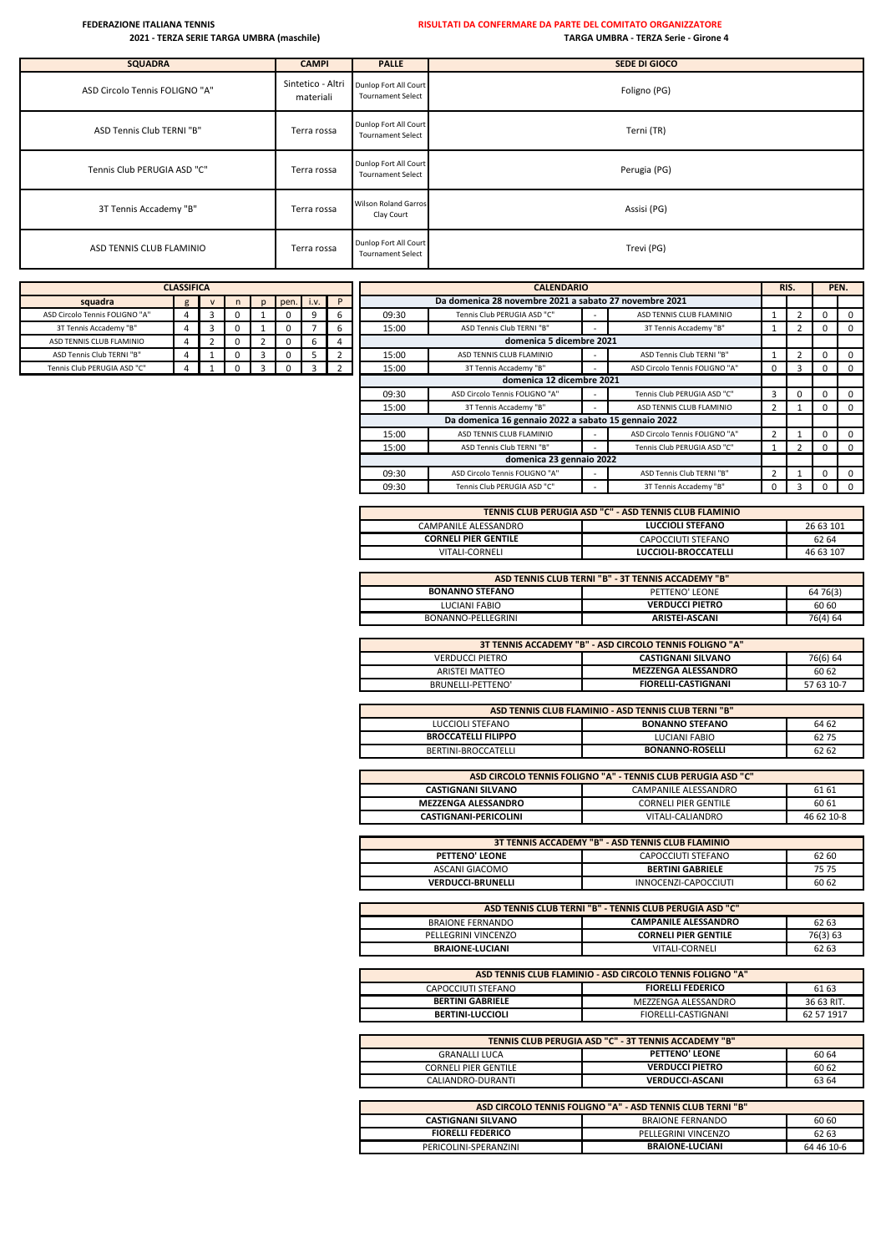| <b>SQUADRA</b>                 | <b>CAMPI</b>                   | <b>PALLE</b>                                      | SEDE DI GIOCO |
|--------------------------------|--------------------------------|---------------------------------------------------|---------------|
| ASD Circolo Tennis FOLIGNO "A" | Sintetico - Altri<br>materiali | Dunlop Fort All Court<br><b>Tournament Select</b> | Foligno (PG)  |
| ASD Tennis Club TERNI "B"      | Terra rossa                    | Dunlop Fort All Court<br><b>Tournament Select</b> | Terni (TR)    |
| Tennis Club PERUGIA ASD "C"    | Terra rossa                    | Dunlop Fort All Court<br><b>Tournament Select</b> | Perugia (PG)  |
| 3T Tennis Accademy "B"         | Terra rossa                    | <b>Wilson Roland Garros</b><br>Clay Court         | Assisi (PG)   |
| ASD TENNIS CLUB FLAMINIO       | Terra rossa                    | Dunlop Fort All Court<br><b>Tournament Select</b> | Trevi (PG)    |

|                                | <b>CLASSIFICA</b> |   |   |              |      |      |   | <b>CALENDARIO</b> |                                                        |                          |                                | RIS. |   | PEN.     |          |
|--------------------------------|-------------------|---|---|--------------|------|------|---|-------------------|--------------------------------------------------------|--------------------------|--------------------------------|------|---|----------|----------|
| squadra                        | g                 |   | n | $\mathbf{D}$ | pen. | i.v. | P |                   | Da domenica 28 novembre 2021 a sabato 27 novembre 2021 |                          |                                |      |   |          |          |
| ASD Circolo Tennis FOLIGNO "A" |                   | Э |   |              |      | 9    | ь | 09:30             | Tennis Club PERUGIA ASD "C"                            | $\overline{\phantom{a}}$ | ASD TENNIS CLUB FLAMINIO       |      |   |          | $\Omega$ |
| 3T Tennis Accademy "B"         |                   | З |   |              |      |      | b | 15:00             | ASD Tennis Club TERNI "B"                              |                          | 3T Tennis Accademy "B"         |      |   |          | $\Omega$ |
| ASD TENNIS CLUB FLAMINIO       |                   |   |   |              | 0    | 6    |   |                   | domenica 5 dicembre 2021                               |                          |                                |      |   |          |          |
| ASD Tennis Club TERNI "B"      |                   |   |   |              |      |      |   | 15:00             | ASD TENNIS CLUB FLAMINIO                               | $\sim$                   | ASD Tennis Club TERNI "B"      |      |   |          | $\Omega$ |
| Tennis Club PERUGIA ASD "C"    |                   |   |   | 3            | 0    |      |   | 15:00             | 3T Tennis Accademy "B"                                 |                          | ASD Circolo Tennis FOLIGNO "A" | 0    | 3 |          | $\Omega$ |
|                                |                   |   |   |              |      |      |   |                   | domenica 12 dicembre 2021                              |                          |                                |      |   |          |          |
|                                |                   |   |   |              |      |      |   | 09:30             | ASD Circolo Tennis FOLIGNO "A"                         | $\overline{\phantom{a}}$ | Tennis Club PERUGIA ASD "C"    | 3    |   | $\Omega$ | $\Omega$ |
|                                |                   |   |   |              |      |      |   | 15:00             | 3T Tennis Accademy "B"                                 | ۰                        | ASD TENNIS CLUB FLAMINIO       |      |   | 0        | $\Omega$ |
|                                |                   |   |   |              |      |      |   |                   | Da domenica 16 gennaio 2022 a sabato 15 gennaio 2022   |                          |                                |      |   |          |          |
|                                |                   |   |   |              |      |      |   | 15:00             | ASD TENNIS CLUB FLAMINIO                               | $\overline{\phantom{a}}$ | ASD Circolo Tennis FOLIGNO "A" |      |   |          | $\Omega$ |
|                                |                   |   |   |              |      |      |   | 15:00             | ASD Tennis Club TERNI "B"                              | $\overline{\phantom{a}}$ | Tennis Club PERUGIA ASD "C"    | 1    | 2 | 0        | $\Omega$ |
|                                |                   |   |   |              |      |      |   |                   | domenica 23 gennaio 2022                               |                          |                                |      |   |          |          |
|                                |                   |   |   |              |      |      |   | 09:30             | ASD Circolo Tennis FOLIGNO "A"                         |                          | ASD Tennis Club TERNI "B"      |      |   |          | $\Omega$ |
|                                |                   |   |   |              |      |      |   | 09:30             | Tennis Club PERUGIA ASD "C"                            | $\overline{\phantom{a}}$ | 3T Tennis Accademy "B"         |      |   |          | $\Omega$ |

| TENNIS CLUB PERUGIA ASD "C" - ASD TENNIS CLUB FLAMINIO |                         |           |  |  |  |
|--------------------------------------------------------|-------------------------|-----------|--|--|--|
| CAMPANILE ALESSANDRO                                   | <b>LUCCIOLI STEFANO</b> | 26 63 101 |  |  |  |
| <b>CORNELI PIER GENTILE</b>                            | CAPOCCIUTI STEFANO      | 62 64     |  |  |  |
| VITALI-CORNELI                                         | LUCCIOLI-BROCCATELLI    | 46 63 107 |  |  |  |

| ASD TENNIS CLUB TERNI "B" - 3T TENNIS ACCADEMY "B" |          |  |  |  |
|----------------------------------------------------|----------|--|--|--|
| PETTENO' LEONE                                     | 64 76(3) |  |  |  |
| <b>VERDUCCI PIETRO</b>                             | 60 60    |  |  |  |
| <b>ARISTEI-ASCANI</b>                              | 76(4) 64 |  |  |  |
|                                                    |          |  |  |  |

| 3T TENNIS ACCADEMY "B" - ASD CIRCOLO TENNIS FOLIGNO "A" |                            |            |  |  |  |
|---------------------------------------------------------|----------------------------|------------|--|--|--|
| VERDUCCI PIETRO                                         | <b>CASTIGNANI SILVANO</b>  | 76(6) 64   |  |  |  |
| ARISTEI MATTEO                                          | <b>MEZZENGA ALESSANDRO</b> | 60 62      |  |  |  |
| BRUNELLI-PETTENO'                                       | <b>FIORELLI-CASTIGNANI</b> | 57 63 10-7 |  |  |  |

| ASD TENNIS CLUB FLAMINIO - ASD TENNIS CLUB TERNI "B" |                        |       |  |  |  |
|------------------------------------------------------|------------------------|-------|--|--|--|
| LUCCIOLI STEFANO                                     | <b>BONANNO STEFANO</b> | 64 62 |  |  |  |
| <b>BROCCATELLI FILIPPO</b>                           | LUCIANI FABIO          | 62 75 |  |  |  |
| BERTINI-BROCCATELLI                                  | <b>BONANNO-ROSELLI</b> | 62 62 |  |  |  |

| ASD CIRCOLO TENNIS FOLIGNO "A" - TENNIS CLUB PERUGIA ASD "C" |                             |            |  |  |  |
|--------------------------------------------------------------|-----------------------------|------------|--|--|--|
| <b>CASTIGNANI SILVANO</b><br>CAMPANILE ALESSANDRO            |                             |            |  |  |  |
| <b>MEZZENGA ALESSANDRO</b>                                   | <b>CORNELL PIER GENTILE</b> | 60 61      |  |  |  |
| <b>CASTIGNANI-PERICOLINI</b>                                 | VITALI-CALIANDRO            | 46 62 10-8 |  |  |  |

| 3T TENNIS ACCADEMY "B" - ASD TENNIS CLUB FLAMINIO |                         |       |  |  |  |  |  |
|---------------------------------------------------|-------------------------|-------|--|--|--|--|--|
| PETTENO' LEONE                                    | CAPOCCIUTI STEFANO      | 62 60 |  |  |  |  |  |
| ASCANI GIACOMO                                    | <b>BERTINI GABRIELE</b> | 75 75 |  |  |  |  |  |
| <b>VERDUCCI-BRUNELLI</b>                          | INNOCENZI-CAPOCCIUTI    | 60 62 |  |  |  |  |  |

| ASD TENNIS CLUB TERNI "B" - TENNIS CLUB PERUGIA ASD "C" |                             |          |  |  |  |  |  |
|---------------------------------------------------------|-----------------------------|----------|--|--|--|--|--|
| BRAIONE FERNANDO                                        | <b>CAMPANILE ALESSANDRO</b> | 62 63    |  |  |  |  |  |
| PELLEGRINI VINCENZO                                     | <b>CORNELI PIER GENTILE</b> | 76(3) 63 |  |  |  |  |  |
| <b>BRAIONE-LUCIANI</b>                                  | VITALI-CORNELI              | 62 63    |  |  |  |  |  |

| ASD TENNIS CLUB FLAMINIO - ASD CIRCOLO TENNIS FOLIGNO "A" |                          |            |  |  |  |  |
|-----------------------------------------------------------|--------------------------|------------|--|--|--|--|
| CAPOCCIUTI STEFANO                                        | <b>FIORELLI FEDERICO</b> | 61 63      |  |  |  |  |
| <b>BERTINI GABRIELE</b>                                   | MEZZENGA ALESSANDRO      | 36 63 RIT. |  |  |  |  |
| <b>BERTINI-LUCCIOLI</b>                                   | FIORELLI-CASTIGNANI      | 62 57 1917 |  |  |  |  |

| TENNIS CLUB PERUGIA ASD "C" - 3T TENNIS ACCADEMY "B" |                        |       |  |  |  |  |  |
|------------------------------------------------------|------------------------|-------|--|--|--|--|--|
| <b>GRANALLI LUCA</b>                                 | <b>PETTENO' LEONE</b>  | 60 64 |  |  |  |  |  |
| <b>CORNELL PIER GENTILE</b>                          | <b>VERDUCCI PIETRO</b> | 60 62 |  |  |  |  |  |
| CALIANDRO-DURANTI                                    | <b>VERDUCCI-ASCANI</b> | 63 64 |  |  |  |  |  |

| ASD CIRCOLO TENNIS FOLIGNO "A" - ASD TENNIS CLUB TERNI "B" |                         |            |  |  |  |  |
|------------------------------------------------------------|-------------------------|------------|--|--|--|--|
| <b>CASTIGNANI SILVANO</b>                                  | <b>BRAIONE FERNANDO</b> | 60 60      |  |  |  |  |
| <b>FIORELLI FEDERICO</b>                                   | PELLEGRINI VINCENZO     | 62 63      |  |  |  |  |
| PERICOLINI-SPERANZINI                                      | <b>BRAIONE-LUCIANI</b>  | 64 46 10-6 |  |  |  |  |

| <b>CLASSIFICA</b>                                 |  |  |  |   |  |   |  |  |  |  |
|---------------------------------------------------|--|--|--|---|--|---|--|--|--|--|
| squadra<br>i.v.<br>pen.<br>$\mathsf{v}$<br>g<br>n |  |  |  |   |  |   |  |  |  |  |
| ASD Circolo Tennis FOLIGNO "A"                    |  |  |  |   |  | q |  |  |  |  |
| 3T Tennis Accademy "B"                            |  |  |  |   |  |   |  |  |  |  |
| ASD TENNIS CLUB FLAMINIO                          |  |  |  |   |  | b |  |  |  |  |
| ASD Tennis Club TERNI "B"                         |  |  |  | ς |  |   |  |  |  |  |
| Tennis Club PERUGIA ASD "C"                       |  |  |  |   |  |   |  |  |  |  |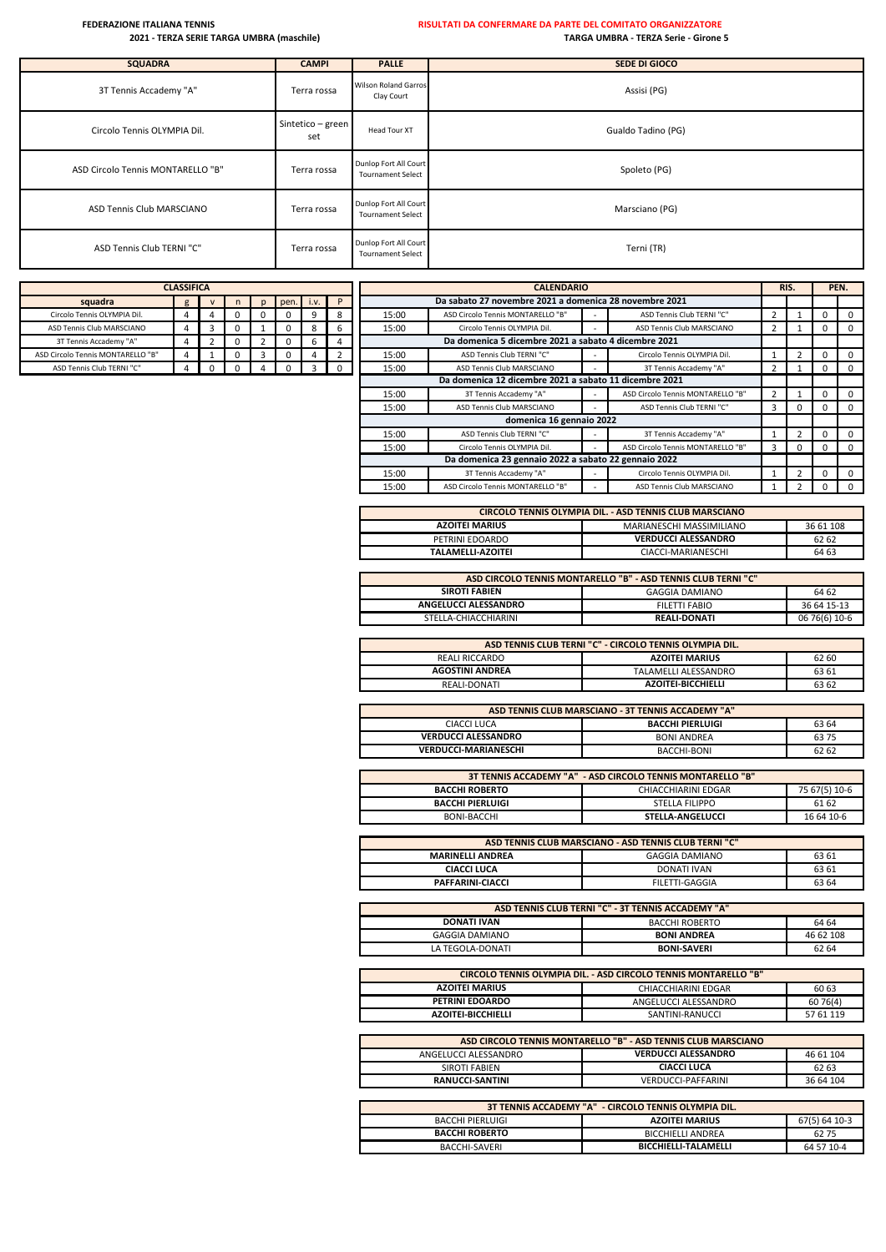| <b>SQUADRA</b>                    | <b>CAMPI</b>             | <b>PALLE</b>                                      | SEDE DI GIOCO      |
|-----------------------------------|--------------------------|---------------------------------------------------|--------------------|
| 3T Tennis Accademy "A"            | Terra rossa              | <b>Wilson Roland Garros</b><br>Clay Court         | Assisi (PG)        |
| Circolo Tennis OLYMPIA Dil.       | Sintetico - green<br>set | Head Tour XT                                      | Gualdo Tadino (PG) |
| ASD Circolo Tennis MONTARELLO "B" | Terra rossa              | Dunlop Fort All Court<br><b>Tournament Select</b> | Spoleto (PG)       |
| ASD Tennis Club MARSCIANO         | Terra rossa              | Dunlop Fort All Court<br><b>Tournament Select</b> | Marsciano (PG)     |
| ASD Tennis Club TERNI "C"         | Terra rossa              | Dunlop Fort All Court<br><b>Tournament Select</b> | Terni (TR)         |

| <b>CLASSIFICA</b>                                      |  |  |   |   |  |   |  |  |  |  |
|--------------------------------------------------------|--|--|---|---|--|---|--|--|--|--|
| squadra<br>pen.<br>i.v.<br>$\mathsf{V}$<br>n<br>g<br>D |  |  |   |   |  |   |  |  |  |  |
| Circolo Tennis OLYMPIA Dil.                            |  |  |   |   |  |   |  |  |  |  |
| ASD Tennis Club MARSCIANO                              |  |  |   |   |  |   |  |  |  |  |
| 3T Tennis Accademy "A"                                 |  |  | O |   |  | h |  |  |  |  |
| ASD Circolo Tennis MONTARELLO "B"                      |  |  | O | ٦ |  |   |  |  |  |  |
| ASD Tennis Club TERNI "C"                              |  |  |   |   |  |   |  |  |  |  |

|                                   | <b>CLASSIFICA</b> |   |      |      |          |       | <b>CALENDARIO</b>                                      |   |                                   |   | RIS. |          | PEN.         |
|-----------------------------------|-------------------|---|------|------|----------|-------|--------------------------------------------------------|---|-----------------------------------|---|------|----------|--------------|
| squadra                           | g                 | n | pen. | i.v. | P        |       | Da sabato 27 novembre 2021 a domenica 28 novembre 2021 |   |                                   |   |      |          |              |
| Circolo Tennis OLYMPIA Dil.       | 4                 |   |      | 9    | 8        | 15:00 | ASD Circolo Tennis MONTARELLO "B"                      |   | ASD Tennis Club TERNI "C"         |   |      |          | $\mathbf 0$  |
| ASD Tennis Club MARSCIANO         | 4                 |   |      | 8    |          | 15:00 | Circolo Tennis OLYMPIA Dil.                            |   | ASD Tennis Club MARSCIANO         |   |      |          | $\mathbf{0}$ |
| 3T Tennis Accademy "A"            |                   |   |      | b    |          |       | Da domenica 5 dicembre 2021 a sabato 4 dicembre 2021   |   |                                   |   |      |          |              |
| ASD Circolo Tennis MONTARELLO "B" | $\overline{4}$    |   |      | 4    | 2        | 15:00 | ASD Tennis Club TERNI "C"                              |   | Circolo Tennis OLYMPIA Dil.       |   |      |          | $\mathbf 0$  |
| ASD Tennis Club TERNI "C"         |                   |   |      | 3    | $\Omega$ | 15:00 | ASD Tennis Club MARSCIANO                              |   | 3T Tennis Accademy "A"            |   |      |          | $\mathbf 0$  |
|                                   |                   |   |      |      |          |       | Da domenica 12 dicembre 2021 a sabato 11 dicembre 2021 |   |                                   |   |      |          |              |
|                                   |                   |   |      |      |          | 15:00 | 3T Tennis Accademy "A"                                 |   | ASD Circolo Tennis MONTARELLO "B" |   |      |          | $\mathbf 0$  |
|                                   |                   |   |      |      |          | 15:00 | ASD Tennis Club MARSCIANO                              | ۰ | ASD Tennis Club TERNI "C"         | 3 |      |          | $\mathbf 0$  |
|                                   |                   |   |      |      |          |       | domenica 16 gennaio 2022                               |   |                                   |   |      |          |              |
|                                   |                   |   |      |      |          | 15:00 | ASD Tennis Club TERNI "C"                              |   | 3T Tennis Accademy "A"            |   |      |          | $\mathbf 0$  |
|                                   |                   |   |      |      |          | 15:00 | Circolo Tennis OLYMPIA Dil.                            |   | ASD Circolo Tennis MONTARELLO "B" | 3 | 0    | $\Omega$ | $\mathbf 0$  |
|                                   |                   |   |      |      |          |       | Da domenica 23 gennaio 2022 a sabato 22 gennaio 2022   |   |                                   |   |      |          |              |
|                                   |                   |   |      |      |          | 15:00 | 3T Tennis Accademy "A"                                 |   | Circolo Tennis OLYMPIA Dil.       |   |      |          | $\mathbf 0$  |
|                                   |                   |   |      |      |          | 15:00 | ASD Circolo Tennis MONTARELLO "B"                      |   | ASD Tennis Club MARSCIANO         |   |      |          | $\Omega$     |

| CIRCOLO TENNIS OLYMPIA DIL. - ASD TENNIS CLUB MARSCIANO        |                            |       |  |  |  |  |
|----------------------------------------------------------------|----------------------------|-------|--|--|--|--|
| MARIANESCHI MASSIMILIANO<br>36 61 108<br><b>AZOITEI MARIUS</b> |                            |       |  |  |  |  |
| PETRINI EDOARDO                                                | <b>VERDUCCI ALESSANDRO</b> | 62 62 |  |  |  |  |
| <b>TALAMELLI-AZOITEI</b>                                       | CIACCI-MARIANESCHI         | 64 63 |  |  |  |  |

| ASD CIRCOLO TENNIS MONTARELLO "B" - ASD TENNIS CLUB TERNI "C" |                     |               |  |  |  |  |  |
|---------------------------------------------------------------|---------------------|---------------|--|--|--|--|--|
| <b>SIROTI FABIEN</b>                                          | GAGGIA DAMIANO      | 64 62         |  |  |  |  |  |
| ANGELUCCI ALESSANDRO                                          | FILETTI FABIO       | 36 64 15-13   |  |  |  |  |  |
| STELLA-CHIACCHIARINI                                          | <b>REALI-DONATI</b> | 06 76(6) 10-6 |  |  |  |  |  |

| ASD TENNIS CLUB TERNI "C" - CIRCOLO TENNIS OLYMPIA DIL. |                           |       |  |  |  |  |  |
|---------------------------------------------------------|---------------------------|-------|--|--|--|--|--|
| <b>AZOITEI MARIUS</b><br>REALI RICCARDO<br>62 60        |                           |       |  |  |  |  |  |
| <b>AGOSTINI ANDREA</b>                                  | TALAMELLI ALESSANDRO      | 63 61 |  |  |  |  |  |
| REALI-DONATI                                            | <b>AZOITEI-BICCHIELLI</b> | 63 62 |  |  |  |  |  |

| ASD TENNIS CLUB MARSCIANO - 3T TENNIS ACCADEMY "A" |                    |       |  |  |  |  |  |
|----------------------------------------------------|--------------------|-------|--|--|--|--|--|
| CIACCI LUCA                                        | BACCHI PIERLUIGI   | 63 64 |  |  |  |  |  |
| <b>VERDUCCI ALESSANDRO</b>                         | <b>BONI ANDREA</b> | 63 75 |  |  |  |  |  |
| <b>VERDUCCI-MARIANESCHI</b>                        | BACCHI-BONI        | 62 62 |  |  |  |  |  |

| 3T TENNIS ACCADEMY "A" - ASD CIRCOLO TENNIS MONTARELLO "B" |                         |               |  |  |  |  |  |  |
|------------------------------------------------------------|-------------------------|---------------|--|--|--|--|--|--|
| <b>BACCHI ROBERTO</b>                                      | CHIACCHIARINI EDGAR     | 75 67(5) 10-6 |  |  |  |  |  |  |
| <b>BACCHI PIERLUIGI</b>                                    | STELLA FILIPPO          | 61 62         |  |  |  |  |  |  |
| BONI-BACCHI                                                | <b>STELLA-ANGELUCCI</b> | 16 64 10-6    |  |  |  |  |  |  |

| ASD TENNIS CLUB MARSCIANO - ASD TENNIS CLUB TERNI "C" |                    |       |  |  |  |  |  |
|-------------------------------------------------------|--------------------|-------|--|--|--|--|--|
| <b>MARINELLI ANDREA</b>                               | GAGGIA DAMIANO     | 63 61 |  |  |  |  |  |
| <b>CIACCI LUCA</b>                                    | <b>DONATI IVAN</b> | 63 61 |  |  |  |  |  |
| PAFFARINI-CIACCI                                      | FILETTI-GAGGIA     | 63 64 |  |  |  |  |  |

|                    | ASD TENNIS CLUB TERNI "C" - 3T TENNIS ACCADEMY "A" |           |  |  |
|--------------------|----------------------------------------------------|-----------|--|--|
| <b>DONATI IVAN</b> | <b>BACCHI ROBERTO</b>                              | 64 64     |  |  |
| GAGGIA DAMIANO     | <b>BONI ANDREA</b>                                 | 46 62 108 |  |  |
| LA TEGOLA-DONATI   | <b>BONI-SAVERI</b>                                 | 62 64     |  |  |

| CIRCOLO TENNIS OLYMPIA DIL. - ASD CIRCOLO TENNIS MONTARELLO "B" |                      |           |  |  |  |  |  |
|-----------------------------------------------------------------|----------------------|-----------|--|--|--|--|--|
| <b>AZOITEI MARIUS</b>                                           | CHIACCHIARINI EDGAR  | 60 63     |  |  |  |  |  |
| <b>PETRINI EDOARDO</b>                                          | ANGELUCCI ALESSANDRO | 60 76(4)  |  |  |  |  |  |
| <b>AZOITEI-BICCHIELLI</b>                                       | SANTINI-RANUCCI      | 57 61 119 |  |  |  |  |  |

| ASD CIRCOLO TENNIS MONTARELLO "B" - ASD TENNIS CLUB MARSCIANO |                            |           |  |  |  |  |  |
|---------------------------------------------------------------|----------------------------|-----------|--|--|--|--|--|
| ANGELUCCI ALESSANDRO                                          | <b>VERDUCCI ALESSANDRO</b> | 46 61 104 |  |  |  |  |  |
| SIROTI FABIEN                                                 | <b>CIACCI LUCA</b>         | 62 63     |  |  |  |  |  |
| <b>RANUCCI-SANTINI</b>                                        | VERDUCCI-PAFFARINI         | 36 64 104 |  |  |  |  |  |
|                                                               |                            |           |  |  |  |  |  |

| 3T TENNIS ACCADEMY "A" - CIRCOLO TENNIS OLYMPIA DIL. |                             |               |  |  |  |  |  |
|------------------------------------------------------|-----------------------------|---------------|--|--|--|--|--|
| <b>BACCHI PIERLUIGI</b>                              | <b>AZOITEI MARIUS</b>       | 67(5) 64 10-3 |  |  |  |  |  |
| <b>BACCHI ROBERTO</b>                                | <b>BICCHIELLI ANDREA</b>    | 62 75         |  |  |  |  |  |
| BACCHI-SAVERI                                        | <b>BICCHIELLI-TALAMELLI</b> | 64 57 10-4    |  |  |  |  |  |